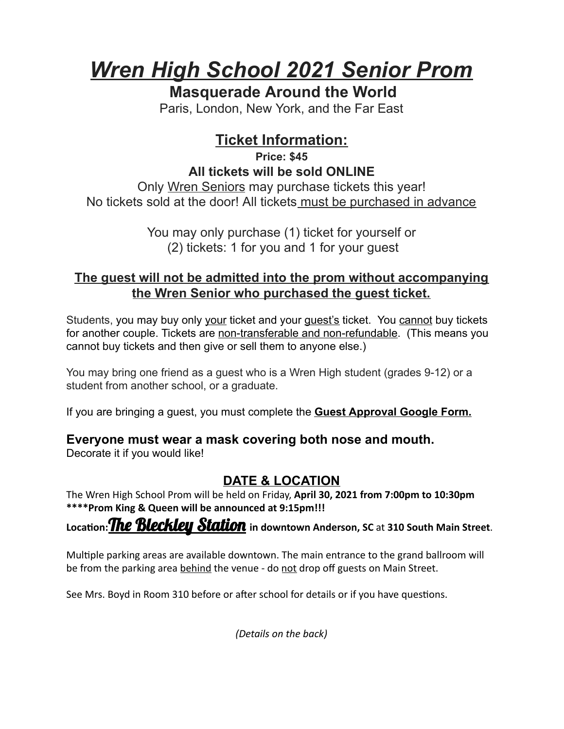# *Wren High School 2021 Senior Prom*

### **Masquerade Around the World**

Paris, London, New York, and the Far East

# **Ticket Information:**

**Price: \$45 All tickets will be sold ONLINE**

Only Wren Seniors may purchase tickets this year! No tickets sold at the door! All tickets must be purchased in advance

> You may only purchase (1) ticket for yourself or (2) tickets: 1 for you and 1 for your guest

#### **The guest will not be admitted into the prom without accompanying the Wren Senior who purchased the guest ticket.**

Students, you may buy only your ticket and your guest's ticket. You cannot buy tickets for another couple. Tickets are non-transferable and non-refundable. (This means you cannot buy tickets and then give or sell them to anyone else.)

You may bring one friend as a guest who is a Wren High student (grades 9-12) or a student from another school, or a graduate.

If you are bringing a guest, you must complete the **Guest Approval Google Form.** 

#### **Everyone must wear a mask covering both nose and mouth.**

Decorate it if you would like!

## **DATE & LOCATION**

The Wren High School Prom will be held on Friday, **April 30, 2021 from 7:00pm to 10:30pm \*\*\*\*Prom King & Queen will be announced at 9:15pm!!!** 

**Location: The Bleckley Station** in downtown Anderson, SC at 310 South Main Street.

Multiple parking areas are available downtown. The main entrance to the grand ballroom will be from the parking area behind the venue - do not drop off guests on Main Street.

See Mrs. Boyd in Room 310 before or after school for details or if you have questions.

*(Details on the back)*